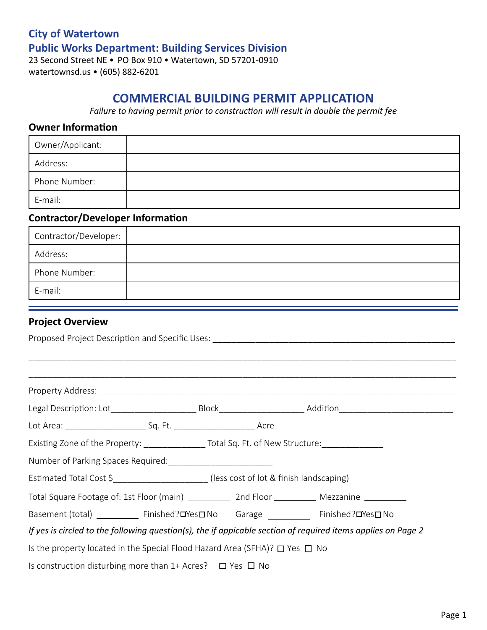# **City of Watertown Public Works Department: Building Services Division** 23 Second Street NE • PO Box 910 • Watertown, SD 57201-0910

watertownsd.us • (605) 882-6201

# **COMMERCIAL BUILDING PERMIT APPLICATION**

*Failure to having permit prior to construction will result in double the permit fee*

#### **Owner Information**

| Owner/Applicant: |  |
|------------------|--|
| Address:         |  |
| Phone Number:    |  |
| E-mail:          |  |

## **Contractor/Developer Information**

| Contractor/Developer: |  |
|-----------------------|--|
| Address:              |  |
| Phone Number:         |  |
| E-mail:               |  |

### **Project Overview**

|                                                                                                              |  |  | Legal Description: Lot___________________________Block__________________________Addition______________________ |  |  |  |
|--------------------------------------------------------------------------------------------------------------|--|--|----------------------------------------------------------------------------------------------------------------|--|--|--|
|                                                                                                              |  |  |                                                                                                                |  |  |  |
| Existing Zone of the Property: _________________Total Sq. Ft. of New Structure: __________________           |  |  |                                                                                                                |  |  |  |
|                                                                                                              |  |  |                                                                                                                |  |  |  |
| Estimated Total Cost \$_______________________(less cost of lot & finish landscaping)                        |  |  |                                                                                                                |  |  |  |
| Total Square Footage of: 1st Floor (main) ______________ 2nd Floor _____________ Mezzanine __________        |  |  |                                                                                                                |  |  |  |
| Basement (total) ____________ Finished? <b>OYes</b> DNo Garage ____________ Finished?OYes DNo                |  |  |                                                                                                                |  |  |  |
| If yes is circled to the following question(s), the if appicable section of required items applies on Page 2 |  |  |                                                                                                                |  |  |  |
| Is the property located in the Special Flood Hazard Area (SFHA)? $\square$ Yes $\square$ No                  |  |  |                                                                                                                |  |  |  |
| Is construction disturbing more than $1+$ Acres? $\Box$ Yes $\Box$ No                                        |  |  |                                                                                                                |  |  |  |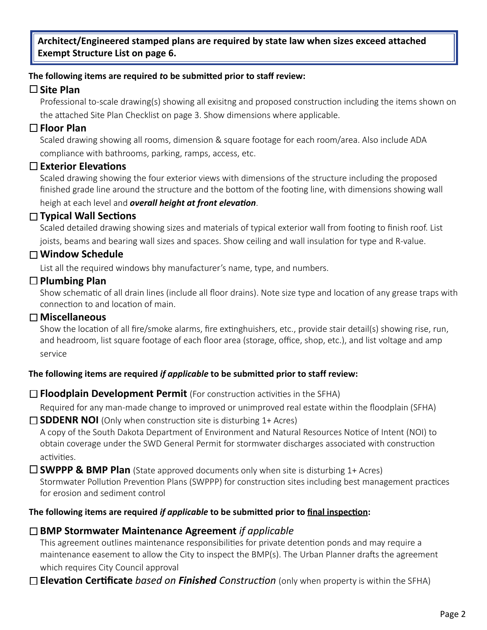**Architect/Engineered stamped plans are required by state law when sizes exceed attached Exempt Structure List on page 6.**

#### **The following items are required** *t***o be submitted prior to staff review:**

# **Site Plan**

Professional to-scale drawing(s) showing all exisitng and proposed construction including the items shown on the attached Site Plan Checklist on page 3. Show dimensions where applicable.

## **Floor Plan**

Scaled drawing showing all rooms, dimension & square footage for each room/area. Also include ADA compliance with bathrooms, parking, ramps, access, etc.

### **Exterior Elevations**

Scaled drawing showing the four exterior views with dimensions of the structure including the proposed finished grade line around the structure and the bottom of the footing line, with dimensions showing wall heigh at each level and *overall height at front elevation*.

# **Typical Wall Sections**

Scaled detailed drawing showing sizes and materials of typical exterior wall from footing to finish roof. List joists, beams and bearing wall sizes and spaces. Show ceiling and wall insulation for type and R-value.

# **Window Schedule**

List all the required windows bhy manufacturer's name, type, and numbers.

### **Plumbing Plan**

Show schematic of all drain lines (include all floor drains). Note size type and location of any grease traps with connection to and location of main.

### **Miscellaneous**

Show the location of all fire/smoke alarms, fire extinghuishers, etc., provide stair detail(s) showing rise, run, and headroom, list square footage of each floor area (storage, office, shop, etc.), and list voltage and amp service

### **The following items are required** *if applicable* **to be submitted prior to staff review:**

### □ **Floodplain Development Permit** (For construction activities in the SFHA)

Required for any man-made change to improved or unimproved real estate within the floodplain (SFHA)

#### □ **SDDENR NOI** (Only when construction site is disturbing 1+ Acres)

A copy of the South Dakota Department of Environment and Natural Resources Notice of Intent (NOI) to obtain coverage under the SWD General Permit for stormwater discharges associated with construction activities.

 $\square$  **SWPPP & BMP Plan** (State approved documents only when site is disturbing 1+ Acres) Stormwater Pollution Prevention Plans (SWPPP) for construction sites including best management practices for erosion and sediment control

### **The following items are required** *if applicable* **to be submitted prior to final inspection:**

# **BMP Stormwater Maintenance Agreement** *if applicable*

This agreement outlines maintenance responsibilities for private detention ponds and may require a maintenance easement to allow the City to inspect the BMP(s). The Urban Planner drafts the agreement

which requires City Council approval

**Elevation Certificate** *based on Finished Construction* (only when property is within the SFHA)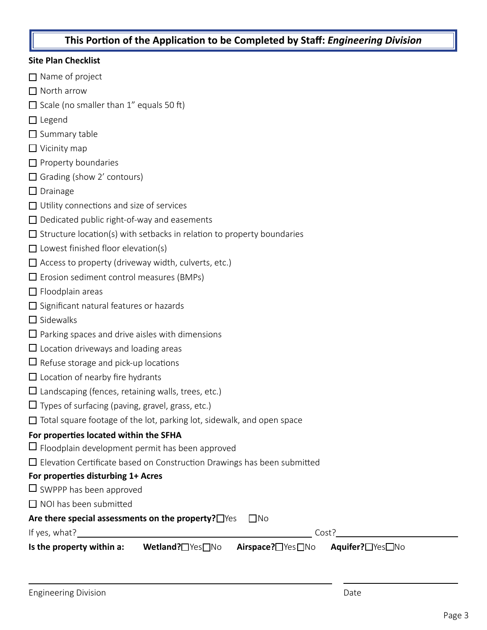### **This Portion of the Application to be Completed by Staff:** *Engineering Division*

#### **Site Plan Checklist**

- $\Box$  Name of project
- □ North arrow
- $\Box$  Scale (no smaller than 1" equals 50 ft)
- □ Legend
- $\Box$  Summary table
- $\Box$  Vicinity map
- $\Box$  Property boundaries
- $\Box$  Grading (show 2' contours)
- $\Box$  Drainage
- $\Box$  Utility connections and size of services
- $\Box$  Dedicated public right-of-way and easements
- $\square$  Structure location(s) with setbacks in relation to property boundaries
- $\Box$  Lowest finished floor elevation(s)
- $\Box$  Access to property (driveway width, culverts, etc.)
- $\Box$  Erosion sediment control measures (BMPs)
- $\Box$  Floodplain areas
- $\Box$  Significant natural features or hazards
- $\square$  Sidewalks
- $\Box$  Parking spaces and drive aisles with dimensions
- $\Box$  Location driveways and loading areas
- $\Box$  Refuse storage and pick-up locations
- $\Box$  Location of nearby fire hydrants
- $\square$  Landscaping (fences, retaining walls, trees, etc.)
- $\Box$  Types of surfacing (paving, gravel, grass, etc.)
- $\Box$  Total square footage of the lot, parking lot, sidewalk, and open space

#### **For properties located within the SFHA**

- $\Box$  Floodplain development permit has been approved
- $\square$  Elevation Certificate based on Construction Drawings has been submitted

#### **For properties disturbing 1+ Acres**

- $\square$  SWPPP has been approved
- $\Box$  NOI has been submitted

#### Are there special assessments on the property? Thes  $\Box$  No

If yes, what?  $\blacksquare$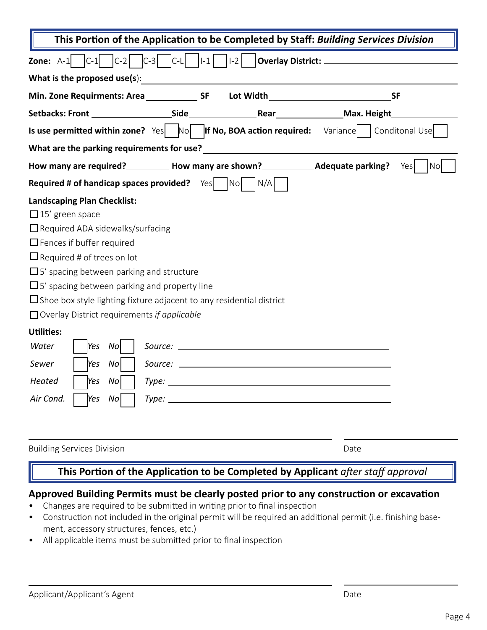| <b>Zone:</b> A-1 $ C-1 $ $ C-2 $ $ C-3 $ $ C-1 $ $ 1-1 $ $ 1-2 $ <b>Overlay District:</b>                                                                                                                                                                                                                                                                                                                                                                                                                                                                       |  |  |  |  |
|-----------------------------------------------------------------------------------------------------------------------------------------------------------------------------------------------------------------------------------------------------------------------------------------------------------------------------------------------------------------------------------------------------------------------------------------------------------------------------------------------------------------------------------------------------------------|--|--|--|--|
| What is the proposed use(s):                                                                                                                                                                                                                                                                                                                                                                                                                                                                                                                                    |  |  |  |  |
| <b>SF</b>                                                                                                                                                                                                                                                                                                                                                                                                                                                                                                                                                       |  |  |  |  |
|                                                                                                                                                                                                                                                                                                                                                                                                                                                                                                                                                                 |  |  |  |  |
| Is use permitted within zone? Yes $\begin{bmatrix} \begin{matrix} \begin{matrix} 1 \end{matrix} \\ \end{matrix} \end{bmatrix}$ (if No, BOA action required: Variance $\begin{bmatrix} \begin{matrix} \begin{matrix} 1 \end{matrix} \\ \end{matrix} \end{bmatrix}$ Conditonal Use                                                                                                                                                                                                                                                                                |  |  |  |  |
|                                                                                                                                                                                                                                                                                                                                                                                                                                                                                                                                                                 |  |  |  |  |
| No<br>Yes                                                                                                                                                                                                                                                                                                                                                                                                                                                                                                                                                       |  |  |  |  |
| <b>Required # of handicap spaces provided?</b> $Yes$   $No$   $N/A$                                                                                                                                                                                                                                                                                                                                                                                                                                                                                             |  |  |  |  |
| <b>Landscaping Plan Checklist:</b><br>$\Box$ 15' green space<br>$\Box$ Required ADA sidewalks/surfacing<br>$\Box$ Fences if buffer required<br>$\Box$ Required # of trees on lot<br>$\square$ 5' spacing between parking and structure<br>$\Box$ 5' spacing between parking and property line<br>$\Box$ Shoe box style lighting fixture adjacent to any residential district<br>$\Box$ Overlay District requirements if applicable<br><b>Utilities:</b><br>Water<br>Yes<br>Nol<br>No<br>Sewer<br>Yes<br>Heated<br>Yes<br>No<br>Air Cond.<br>Type:<br>$Yes$ $No$ |  |  |  |  |
| <b>Building Services Division</b><br>Date<br>This Portion of the Application to be Completed by Applicant after staff approval                                                                                                                                                                                                                                                                                                                                                                                                                                  |  |  |  |  |

### **Approved Building Permits must be clearly posted prior to any construction or excavation**

- Changes are required to be submitted in writing prior to final inspection
- Construction not included in the original permit will be required an additional permit (i.e. finishing basement, accessory structures, fences, etc.)
- All applicable items must be submitted prior to final inspection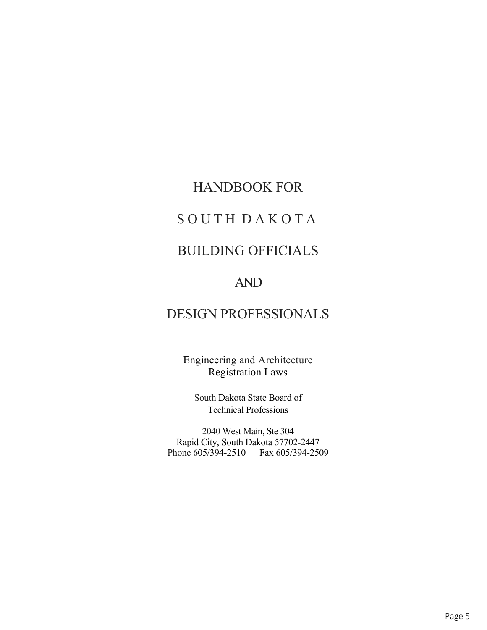# HANDBOOK FOR

# SOUTH DAKOTA

# BUILDING OFFICIALS

# AND

# DESIGN PROFESSIONALS

Engineering and Architecture Registration Laws

South Dakota State Board of Technical Professions

2040 West Main, Ste 304 Rapid City, South Dakota 57702-2447 Phone 605/394-2510 Fax 605/394-2509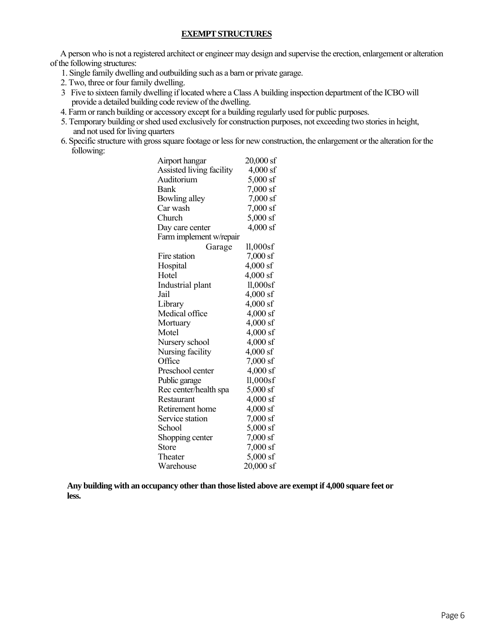#### **EXEMPT STRUCTURES**

A person who is not a registered architect or engineer may design and supervise the erection, enlargement or alteration of the following structures:

- 1. Single family dwelling and outbuilding such as a barn or private garage.
- 2. Two, three or four family dwelling.
- 3 Five to sixteen family dwelling if located where a Class A building inspection department of the ICBO will provide a detailed building code review of the dwelling.
- 4. Farm or ranch building or accessory except for a building regularly used for public purposes.
- 5. Temporary building or shed used exclusively for construction purposes, not exceeding two stories in height, and not used for living quarters
- 6. Specific structure with gross square footage or less for new construction, the enlargement or the alteration for the following:

| Airport hangar           | $20,000$ sf |
|--------------------------|-------------|
| Assisted living facility | $4,000$ sf  |
| Auditorium               | 5,000 sf    |
| Bank                     | 7,000 sf    |
| Bowling alley            | $7,000$ sf  |
| Car wash                 | 7,000 sf    |
| Church                   | $5,000$ sf  |
| Day care center          | $4,000$ sf  |
| Farm implement w/repair  |             |
| Garage                   | $11,000$ sf |
| Fire station             | 7,000 sf    |
| Hospital                 | $4,000$ sf  |
| Hotel                    | 4,000 sf    |
| Industrial plant         | $11,000$ sf |
| Jail                     | $4,000$ sf  |
| Library                  | $4,000$ sf  |
| Medical office           | 4,000 sf    |
| Mortuary                 | 4,000 sf    |
| Motel                    | 4,000 sf    |
| Nursery school           | 4,000 sf    |
| Nursing facility         | 4,000 sf    |
| Office                   | 7,000 sf    |
| Preschool center         | $4,000$ sf  |
| Public garage            | $11,000$ sf |
| Rec center/health spa    | 5,000 sf    |
| Restaurant               | 4,000 sf    |
| Retirement home          | 4,000 sf    |
| Service station          | 7,000 sf    |
| School                   | 5,000 sf    |
| Shopping center          | $7,000$ sf  |
| <b>Store</b>             | 7,000 sf    |
| Theater                  | $5,000$ sf  |
| Warehouse                | $20,000$ sf |

**Any building with an occupancy other than those listed above are exempt if 4,000 square feet or less.**